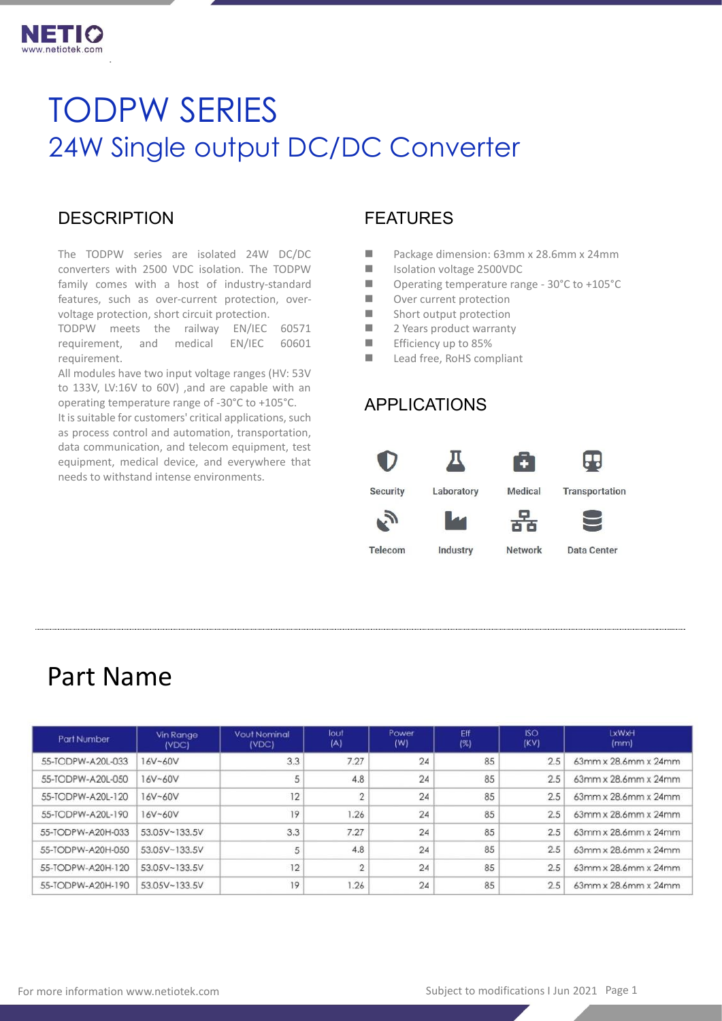

# TODPW SERIES 24W Single output DC/DC Converter

#### **DESCRIPTION**

.

The TODPW series are isolated 24W DC/DC converters with 2500 VDC isolation. The TODPW family comes with a host of industry-standard features, such as over-current protection, overvoltage protection, short circuit protection.

TODPW meets the railway EN/IEC 60571 requirement, and medical EN/IEC 60601 requirement.

All modules have two input voltage ranges (HV: 53V to 133V, LV:16V to 60V) ,and are capable with an operating temperature range of -30°C to +105°C.

It is suitable for customers' critical applications, such as process control and automation, transportation, data communication, and telecom equipment, test equipment, medical device, and everywhere that needs to withstand intense environments.

#### FEATURES

- Package dimension: 63mm x 28.6mm x 24mm
- Isolation voltage 2500VDC
- Operating temperature range 30°C to +105°C
- Over current protection
- Short output protection
- 2 Years product warranty
- Efficiency up to 85%
- Lead free, RoHS compliant

#### APPLICATIONS



Network



Data Center

## Part Name

| Part Number       | Vin Range<br>(VDC) | Vout Nominal<br>(VDC) | lout<br>(A)    | Power<br>(W) | Eff<br>(%) | <b>ISO</b><br>(KV) | <b>LxWxH</b><br>(mm) |
|-------------------|--------------------|-----------------------|----------------|--------------|------------|--------------------|----------------------|
| 55-TODPW-A20L-033 | 16V~60V            | 3.3                   | 7.27           | 24           | 85         | 2.5                | 63mm x 28.6mm x 24mm |
| 55-TODPW-A20L-050 | 16V~60V            |                       | 4.8            | 24           | 85         | 2.5                | 63mm x 28.6mm x 24mm |
| 55-TODPW-A20L-120 | 16V~60V            | 12                    | $\overline{2}$ | 24           | 85         | 2.5                | 63mm x 28.6mm x 24mm |
| 55-TODPW-A20L-190 | 16V~60V            | 19                    | .26            | 24           | 85         | 2.5                | 63mm x 28.6mm x 24mm |
| 55-TODPW-A20H-033 | 53.05V~133.5V      | 3.3                   | 7.27           | 24           | 85         | 2.5                | 63mm x 28.6mm x 24mm |
| 55-TODPW-A20H-050 | 53.05V~133.5V      |                       | 4.8            | 24           | 85         | 2.5                | 63mm x 28.6mm x 24mm |
| 55-TODPW-A20H-120 | 53.05V~133.5V      | 12                    | Ω              | 24           | 85         | 2.5                | 63mm x 28.6mm x 24mm |
| 55-TODPW-A20H-190 | 53,05V~133,5V      | 19                    | .26            | 24           | 85         | 2.5                | 63mm x 28.6mm x 24mm |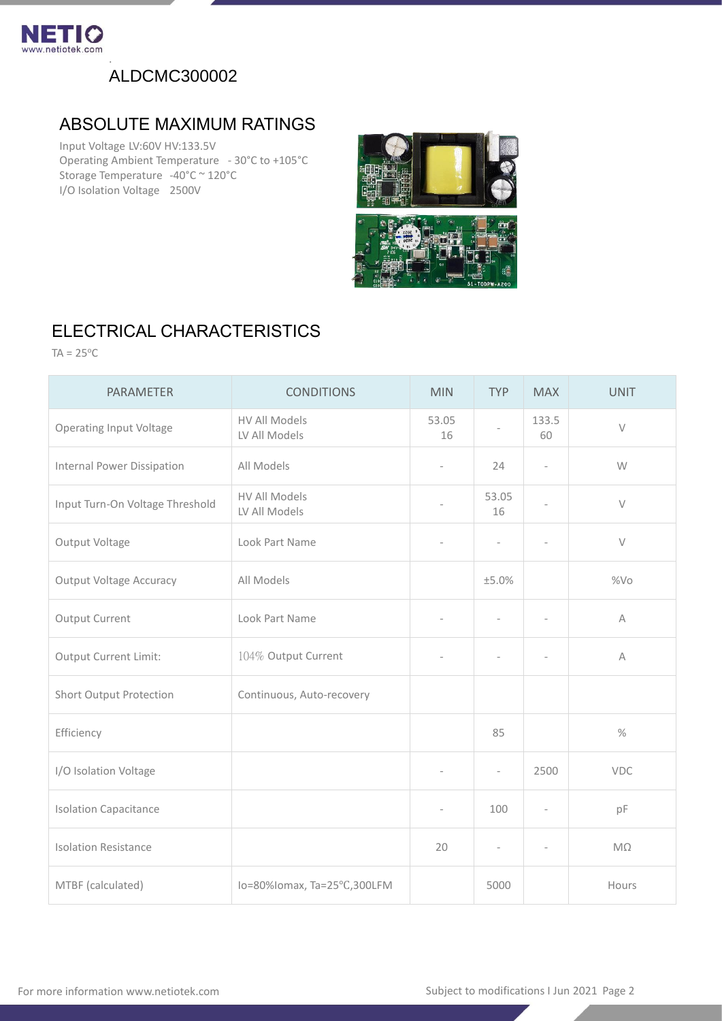

#### . ALDCMC300002

#### ABSOLUTE MAXIMUM RATINGS

Input Voltage LV:60V HV:133.5V Operating Ambient Temperature - 30°C to +105°C Storage Temperature -40°C ~ 120°C I/O Isolation Voltage 2500V





## ELECTRICAL CHARACTERISTICS

 $TA = 25^{\circ}C$ 

| <b>PARAMETER</b>                  | <b>CONDITIONS</b>                     | <b>MIN</b>               | <b>TYP</b>               | <b>MAX</b>               | <b>UNIT</b> |
|-----------------------------------|---------------------------------------|--------------------------|--------------------------|--------------------------|-------------|
| <b>Operating Input Voltage</b>    | <b>HV All Models</b><br>LV All Models | 53.05<br>16              |                          | 133.5<br>60              | $\vee$      |
| <b>Internal Power Dissipation</b> | All Models                            | $\overline{\phantom{0}}$ | 24                       | $\overline{\phantom{a}}$ | W           |
| Input Turn-On Voltage Threshold   | <b>HV All Models</b><br>LV All Models |                          | 53.05<br>16              |                          | $\vee$      |
| Output Voltage                    | Look Part Name                        | $\bar{ }$                | $\overline{\phantom{0}}$ | $\overline{\phantom{0}}$ | $\vee$      |
| <b>Output Voltage Accuracy</b>    | All Models                            |                          | ±5.0%                    |                          | %Vo         |
| Output Current                    | Look Part Name                        |                          |                          | $\overline{a}$           | Α           |
| Output Current Limit:             | 104% Output Current                   | $\overline{\phantom{a}}$ | L,                       | L,                       | Α           |
| <b>Short Output Protection</b>    | Continuous, Auto-recovery             |                          |                          |                          |             |
| Efficiency                        |                                       |                          | 85                       |                          | $\%$        |
| I/O Isolation Voltage             |                                       | $\bar{\phantom{a}}$      | $\frac{1}{2}$            | 2500                     | <b>VDC</b>  |
| <b>Isolation Capacitance</b>      |                                       | $\overline{\phantom{a}}$ | 100                      | $\overline{\phantom{a}}$ | pF          |
| <b>Isolation Resistance</b>       |                                       | 20                       | $\overline{\phantom{a}}$ | $\overline{\phantom{a}}$ | $M\Omega$   |
| MTBF (calculated)                 | lo=80%lomax, Ta=25°C,300LFM           |                          | 5000                     |                          | Hours       |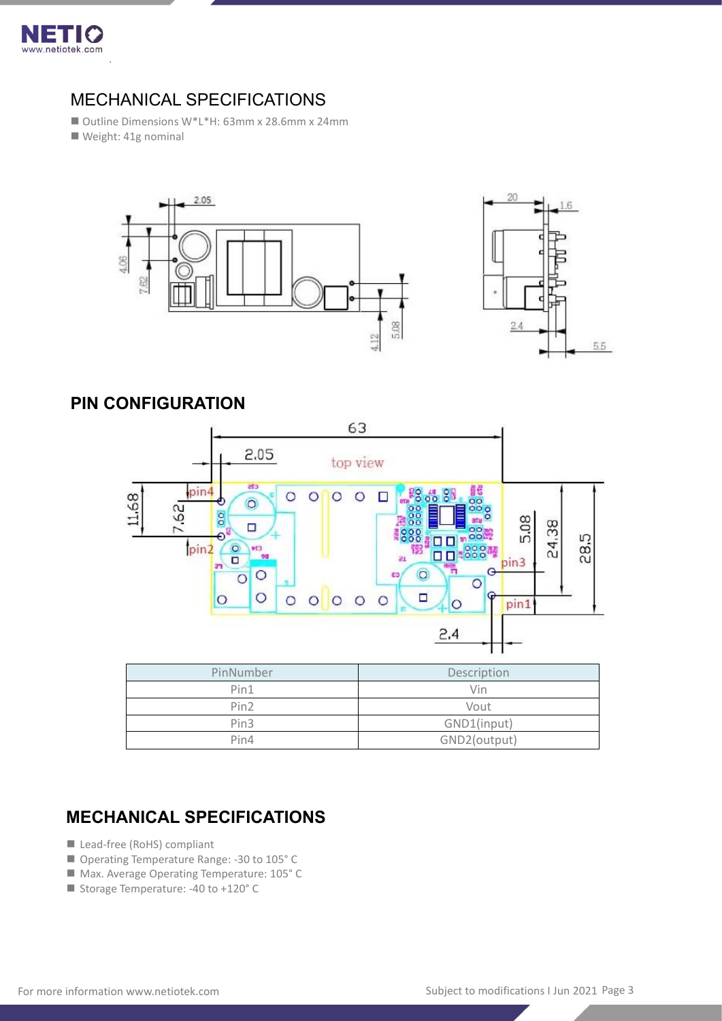

#### MECHANICAL SPECIFICATIONS

■ Outline Dimensions W\*L\*H: 63mm x 28.6mm x 24mm

■ Weight: 41g nominal

.



#### **PIN CONFIGURATION**



| Pinnumber        | Description  |  |  |
|------------------|--------------|--|--|
| Pin1             | Vin          |  |  |
| Pin <sub>2</sub> | Vout         |  |  |
| Pin3             | GND1(input)  |  |  |
| Pin4             | GND2(output) |  |  |

### **MECHANICAL SPECIFICATIONS**

- Lead-free (RoHS) compliant
- Operating Temperature Range: -30 to 105°C
- Max. Average Operating Temperature: 105°C
- Storage Temperature: -40 to +120° C